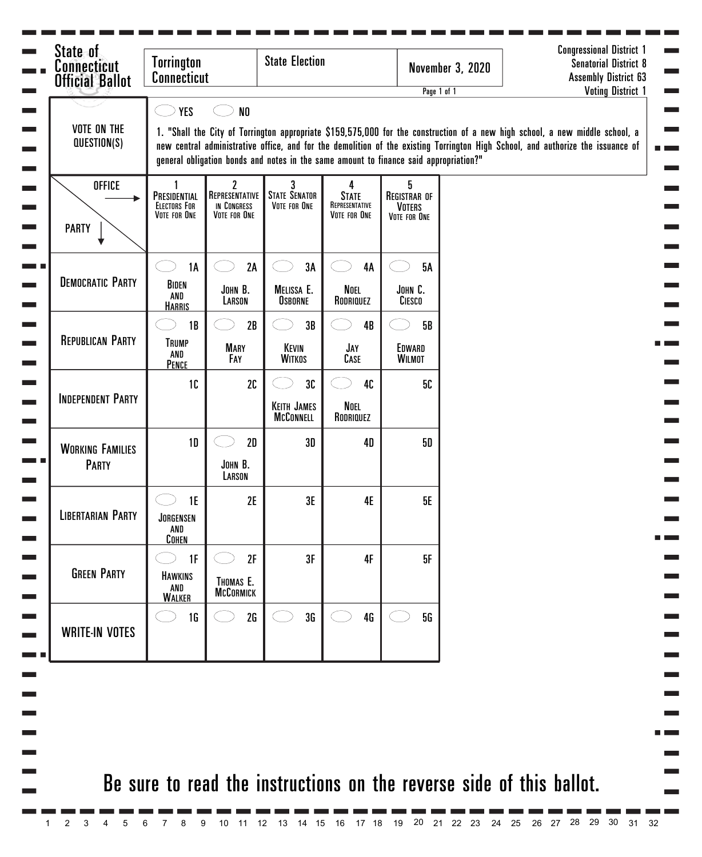| <b>Connecticut</b><br><b>Official Ballot</b> | <b>State Election</b><br><b>Torrington</b><br><b>Connecticut</b> |                                                    |                                                                                       |                                                     |                                                           | <b>November 3, 2020</b> | <b>Senatorial District 8</b><br><b>Assembly District 63</b>                                                                                                                                                                                                     |
|----------------------------------------------|------------------------------------------------------------------|----------------------------------------------------|---------------------------------------------------------------------------------------|-----------------------------------------------------|-----------------------------------------------------------|-------------------------|-----------------------------------------------------------------------------------------------------------------------------------------------------------------------------------------------------------------------------------------------------------------|
|                                              | <b>YES</b>                                                       | N <sub>0</sub>                                     |                                                                                       |                                                     |                                                           | Page 1 of 1             | <b>Voting District 1</b>                                                                                                                                                                                                                                        |
| <b>VOTE ON THE</b><br>QUESTION(S)            |                                                                  |                                                    | general obligation bonds and notes in the same amount to finance said appropriation?" |                                                     |                                                           |                         | 1. "Shall the City of Torrington appropriate \$159,575,000 for the construction of a new high school, a new middle school, a<br>new central administrative office, and for the demolition of the existing Torrington High School, and authorize the issuance of |
| <b>OFFICE</b><br><b>PARTY</b>                | PRESIDENTIAL<br><b>ELECTORS FOR</b><br>VOTE FOR ONE              | 2<br>REPRESENTATIVE<br>IN CONGRESS<br>VOTE FOR ONE | <b>STATE SENATOR</b><br>VOTE FOR ONE                                                  | 4<br><b>STATE</b><br>REPRESENTATIVE<br>VOTE FOR ONE | 5<br><b>REGISTRAR OF</b><br><b>VOTERS</b><br>VOTE FOR ONE |                         |                                                                                                                                                                                                                                                                 |
|                                              | 1A                                                               | 2A                                                 | 3A                                                                                    | <b>4A</b>                                           | <b>5A</b>                                                 |                         |                                                                                                                                                                                                                                                                 |
| <b>DEMOCRATIC PARTY</b>                      | BIDEN<br>AND<br><b>HARRIS</b>                                    | JOHN B.<br>LARSON                                  | MELISSA E.<br><b>OSBORNE</b>                                                          | Noel<br>RODRIQUEZ                                   | JOHN C.<br>CIESCO                                         |                         |                                                                                                                                                                                                                                                                 |
|                                              | 1B                                                               | 2B                                                 | 3B                                                                                    | 4B                                                  | <b>5B</b>                                                 |                         |                                                                                                                                                                                                                                                                 |
| <b>REPUBLICAN PARTY</b>                      | <b>TRUMP</b><br>AND<br>PENCE                                     | <b>MARY</b><br>FAY                                 | KEVIN<br><b>WITKOS</b>                                                                | JAY<br>CASE                                         | EDWARD<br><b>WILMOT</b>                                   |                         |                                                                                                                                                                                                                                                                 |
|                                              | 10                                                               | 2C                                                 | 30                                                                                    | 40                                                  | 50                                                        |                         |                                                                                                                                                                                                                                                                 |
| <b>INDEPENDENT PARTY</b>                     |                                                                  |                                                    | <b>KEITH JAMES</b><br><b>MCCONNELL</b>                                                | Noel<br>RODRIQUEZ                                   |                                                           |                         |                                                                                                                                                                                                                                                                 |
| <b>WORKING FAMILIES</b>                      | 1 <sub>D</sub>                                                   | 2D                                                 | 3D                                                                                    | <b>4D</b>                                           | 50                                                        |                         |                                                                                                                                                                                                                                                                 |
| PARTY                                        |                                                                  | JOHN B.<br>LARSON                                  |                                                                                       |                                                     |                                                           |                         |                                                                                                                                                                                                                                                                 |
| <b>LIBERTARIAN PARTY</b>                     | 1E<br>JORGENSEN<br>AND<br>COHEN                                  | 2E                                                 | 3E                                                                                    | 4E                                                  | <b>5E</b>                                                 |                         |                                                                                                                                                                                                                                                                 |
| <b>GREEN PARTY</b>                           | 1F<br><b>HAWKINS</b><br>AND<br><b>WALKER</b>                     | 2F<br>THOMAS E.<br><b>MCCORMICK</b>                | 3F                                                                                    | 4F                                                  | 5F                                                        |                         |                                                                                                                                                                                                                                                                 |
| <b>WRITE-IN VOTES</b>                        | 1 <sub>G</sub>                                                   | 2G                                                 | 3G                                                                                    | 4G                                                  | <b>5G</b>                                                 |                         |                                                                                                                                                                                                                                                                 |
|                                              |                                                                  |                                                    |                                                                                       |                                                     |                                                           |                         |                                                                                                                                                                                                                                                                 |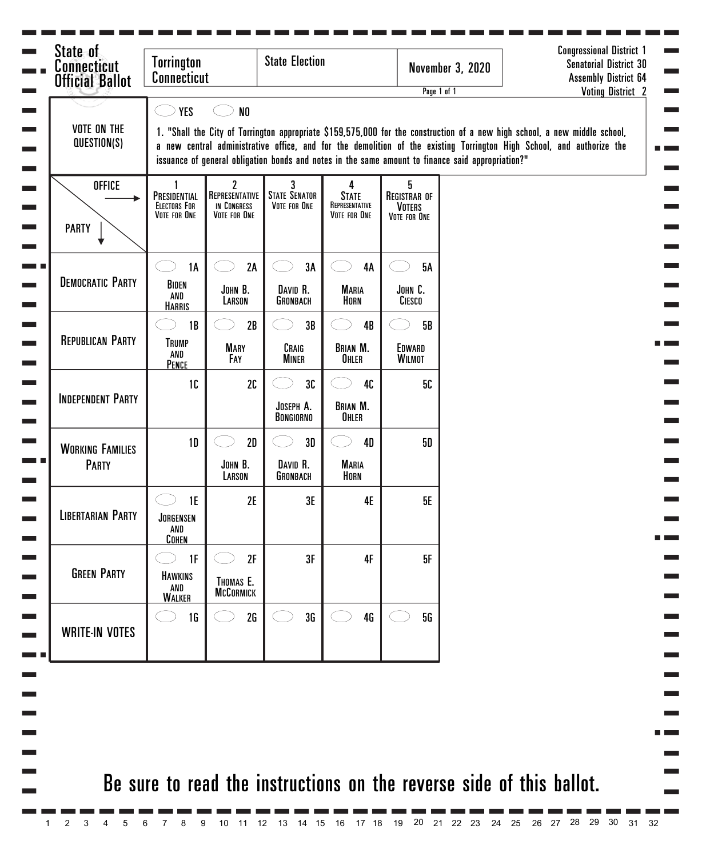| <b>Connecticut</b><br><b>Official Ballot</b> | <b>Torrington</b><br><b>Connecticut</b>             |                                                                                                                                                                                                                                                                                                                                                          | <b>State Election</b>                |                                                     |                                                           | <b>November 3, 2020</b><br>Page 1 of 1 | <b>Congressional District 1</b><br><b>Senatorial District 30</b><br><b>Assembly District 64</b><br><b>Voting District 2</b> |  |  |  |  |  |
|----------------------------------------------|-----------------------------------------------------|----------------------------------------------------------------------------------------------------------------------------------------------------------------------------------------------------------------------------------------------------------------------------------------------------------------------------------------------------------|--------------------------------------|-----------------------------------------------------|-----------------------------------------------------------|----------------------------------------|-----------------------------------------------------------------------------------------------------------------------------|--|--|--|--|--|
| <b>VOTE ON THE</b>                           | <b>YES</b>                                          | ${\sf N0}$                                                                                                                                                                                                                                                                                                                                               |                                      |                                                     |                                                           |                                        |                                                                                                                             |  |  |  |  |  |
| QUESTION(S)                                  |                                                     | 1. "Shall the City of Torrington appropriate \$159,575,000 for the construction of a new high school, a new middle school,<br>a new central administrative office, and for the demolition of the existing Torrington High School, and authorize the<br>issuance of general obligation bonds and notes in the same amount to finance said appropriation?" |                                      |                                                     |                                                           |                                        |                                                                                                                             |  |  |  |  |  |
| <b>OFFICE</b><br><b>PARTY</b>                | PRESIDENTIAL<br><b>ELECTORS FOR</b><br>VOTE FOR ONE | 2<br>REPRESENTATIVE<br>IN CONGRESS<br>VOTE FOR ONE                                                                                                                                                                                                                                                                                                       | <b>STATE SENATOR</b><br>VOTE FOR ONE | 4<br><b>STATE</b><br>REPRESENTATIVE<br>VOTE FOR ONE | 5<br><b>REGISTRAR OF</b><br><b>VOTERS</b><br>VOTE FOR ONE |                                        |                                                                                                                             |  |  |  |  |  |
| <b>DEMOCRATIC PARTY</b>                      | 1A<br>BIDEN                                         | 2A<br>JOHN B.                                                                                                                                                                                                                                                                                                                                            | 3A<br>DAVID R.                       | 4A<br><b>MARIA</b>                                  | <b>5A</b><br>JOHN C.                                      |                                        |                                                                                                                             |  |  |  |  |  |
|                                              | AND<br><b>HARRIS</b>                                | LARSON                                                                                                                                                                                                                                                                                                                                                   | GRONBACH                             | HORN                                                | CIESCO                                                    |                                        |                                                                                                                             |  |  |  |  |  |
|                                              | 1B                                                  | 2B                                                                                                                                                                                                                                                                                                                                                       | 3B                                   | 4B                                                  | <b>5B</b>                                                 |                                        |                                                                                                                             |  |  |  |  |  |
| <b>REPUBLICAN PARTY</b>                      | <b>TRUMP</b><br>AND<br>PENCE                        | <b>MARY</b><br>FAY                                                                                                                                                                                                                                                                                                                                       | CRAIG<br><b>MINER</b>                | <b>BRIAN M.</b><br>OHLER                            | EDWARD<br><b>WILMOT</b>                                   |                                        |                                                                                                                             |  |  |  |  |  |
|                                              | 10                                                  | 2C                                                                                                                                                                                                                                                                                                                                                       | 3C                                   | 40                                                  | 50                                                        |                                        |                                                                                                                             |  |  |  |  |  |
| <b>INDEPENDENT PARTY</b>                     |                                                     |                                                                                                                                                                                                                                                                                                                                                          | JOSEPH A.<br><b>BONGIORNO</b>        | <b>BRIAN M.</b><br>OHLER                            |                                                           |                                        |                                                                                                                             |  |  |  |  |  |
| <b>WORKING FAMILIES</b>                      | 1 <sub>D</sub>                                      | 2D                                                                                                                                                                                                                                                                                                                                                       | 3D                                   | <b>4D</b>                                           | 50                                                        |                                        |                                                                                                                             |  |  |  |  |  |
| <b>PARTY</b>                                 |                                                     | JOHN B.<br>LARSON                                                                                                                                                                                                                                                                                                                                        | DAVID R.<br>GRONBACH                 | <b>MARIA</b><br>HORN                                |                                                           |                                        |                                                                                                                             |  |  |  |  |  |
| <b>LIBERTARIAN PARTY</b>                     | 1E<br>JORGENSEN<br>AND<br><b>COHEN</b>              | 2E                                                                                                                                                                                                                                                                                                                                                       | 3E                                   | <b>4E</b>                                           | 5E                                                        |                                        |                                                                                                                             |  |  |  |  |  |
|                                              | 1F                                                  | 2F                                                                                                                                                                                                                                                                                                                                                       | 3F                                   | 4F                                                  | 5F                                                        |                                        |                                                                                                                             |  |  |  |  |  |
| <b>GREEN PARTY</b>                           | <b>HAWKINS</b><br>AND<br><b>WALKER</b>              | THOMAS E.<br><b>MCCORMICK</b>                                                                                                                                                                                                                                                                                                                            |                                      |                                                     |                                                           |                                        |                                                                                                                             |  |  |  |  |  |
| <b>WRITE-IN VOTES</b>                        | 1 <sub>G</sub>                                      | 2G                                                                                                                                                                                                                                                                                                                                                       | 3 <sub>G</sub>                       | 4G                                                  | 5G                                                        |                                        |                                                                                                                             |  |  |  |  |  |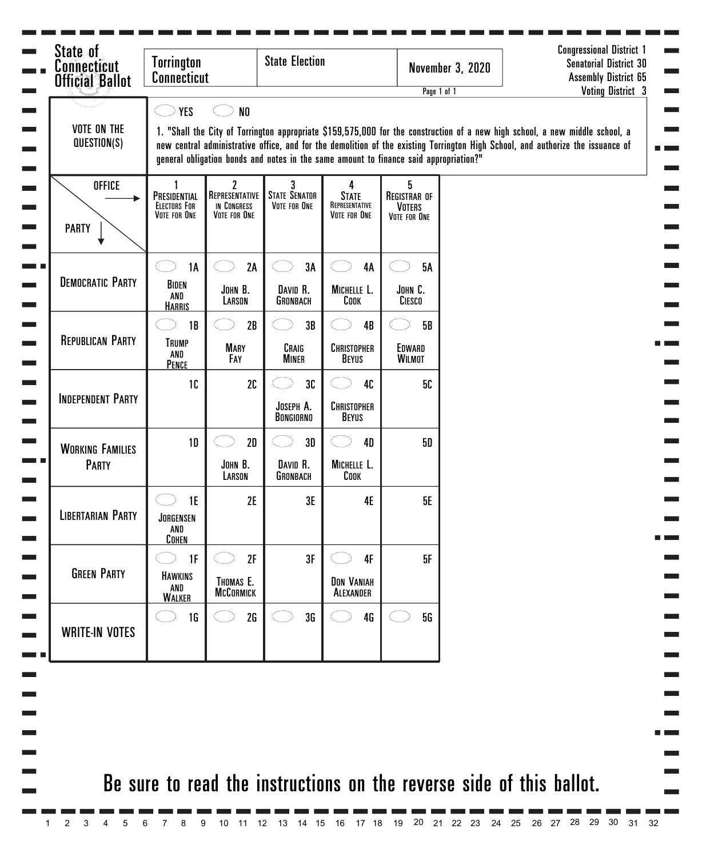| State of<br><b>Connecticut</b><br><b>Official Ballot</b> | <b>Torrington</b><br><b>Connecticut</b>                                                                                                                                                                                                                                                                                                                                                                                             |                                                    | <b>State Election</b>                     |                                                            |                                                           | <b>November 3, 2020</b> | <b>Senatorial District 30</b><br><b>Assembly District 65</b> |  |  |  |
|----------------------------------------------------------|-------------------------------------------------------------------------------------------------------------------------------------------------------------------------------------------------------------------------------------------------------------------------------------------------------------------------------------------------------------------------------------------------------------------------------------|----------------------------------------------------|-------------------------------------------|------------------------------------------------------------|-----------------------------------------------------------|-------------------------|--------------------------------------------------------------|--|--|--|
| <b>VOTE ON THE</b><br>QUESTION(S)                        | <b>Voting District 3</b><br>Page 1 of 1<br><b>YES</b><br>N <sub>0</sub><br>1. "Shall the City of Torrington appropriate \$159,575,000 for the construction of a new high school, a new middle school, a<br>new central administrative office, and for the demolition of the existing Torrington High School, and authorize the issuance of<br>general obligation bonds and notes in the same amount to finance said appropriation?" |                                                    |                                           |                                                            |                                                           |                         |                                                              |  |  |  |
| <b>OFFICE</b><br><b>PARTY</b>                            | PRESIDENTIAL<br><b>ELECTORS FOR</b><br>VOTE FOR ONE                                                                                                                                                                                                                                                                                                                                                                                 | 2<br>REPRESENTATIVE<br>IN CONGRESS<br>VOTE FOR ONE | 3<br><b>STATE SENATOR</b><br>VOTE FOR ONE | 4<br><b>STATE</b><br>REPRESENTATIVE<br><b>VOTE FOR ONE</b> | 5<br><b>REGISTRAR OF</b><br><b>VOTERS</b><br>VOTE FOR ONE |                         |                                                              |  |  |  |
| <b>DEMOCRATIC PARTY</b>                                  | <b>1A</b><br>BIDEN<br>AND<br><b>HARRIS</b>                                                                                                                                                                                                                                                                                                                                                                                          | 2A<br>JOHN B.<br>LARSON                            | 3A<br>DAVID R.<br>GRONBACH                | 4A<br>MICHELLE L.<br>Соок                                  | <b>5A</b><br>JOHN C.<br>CIESCO                            |                         |                                                              |  |  |  |
| <b>REPUBLICAN PARTY</b>                                  | 1B<br><b>TRUMP</b><br>AND<br>PENCE                                                                                                                                                                                                                                                                                                                                                                                                  | 2B<br><b>MARY</b><br>FAY                           | 3B<br>CRAIG<br><b>MINER</b>               | 4B<br><b>CHRISTOPHER</b><br>BEYUS                          | <b>5B</b><br>EDWARD<br><b>WILMOT</b>                      |                         |                                                              |  |  |  |
| <b>INDEPENDENT PARTY</b>                                 | 1C                                                                                                                                                                                                                                                                                                                                                                                                                                  | 2C                                                 | 30<br>JOSEPH A.<br>BONGIORNO              | 40<br><b>CHRISTOPHER</b><br>BEYUS                          | 5С                                                        |                         |                                                              |  |  |  |
| <b>WORKING FAMILIES</b><br>PARTY                         | 1 <sub>D</sub>                                                                                                                                                                                                                                                                                                                                                                                                                      | 2D<br>JOHN B.<br>LARSON                            | 3D<br>DAVID R.<br>GRONBACH                | <b>4D</b><br>MICHELLE L.<br>COOK                           | <b>5D</b>                                                 |                         |                                                              |  |  |  |
| <b>LIBERTARIAN PARTY</b>                                 | 1E<br>JORGENSEN<br>AND<br><b>COHEN</b>                                                                                                                                                                                                                                                                                                                                                                                              | 2E                                                 | 3E                                        | <b>4E</b>                                                  | <b>5E</b>                                                 |                         |                                                              |  |  |  |
| <b>GREEN PARTY</b>                                       | 1F<br>HAWKINS<br>AND<br><b>WALKER</b>                                                                                                                                                                                                                                                                                                                                                                                               | 2F<br>THOMAS E.<br><b>MCCORMICK</b>                | 3F                                        | 4F<br><b>DON VANIAH</b><br>ALEXANDER                       | 5F                                                        |                         |                                                              |  |  |  |
| <b>WRITE-IN VOTES</b>                                    | 1 <sub>G</sub>                                                                                                                                                                                                                                                                                                                                                                                                                      | 2G                                                 | 3G                                        | 4G                                                         | 5G                                                        |                         |                                                              |  |  |  |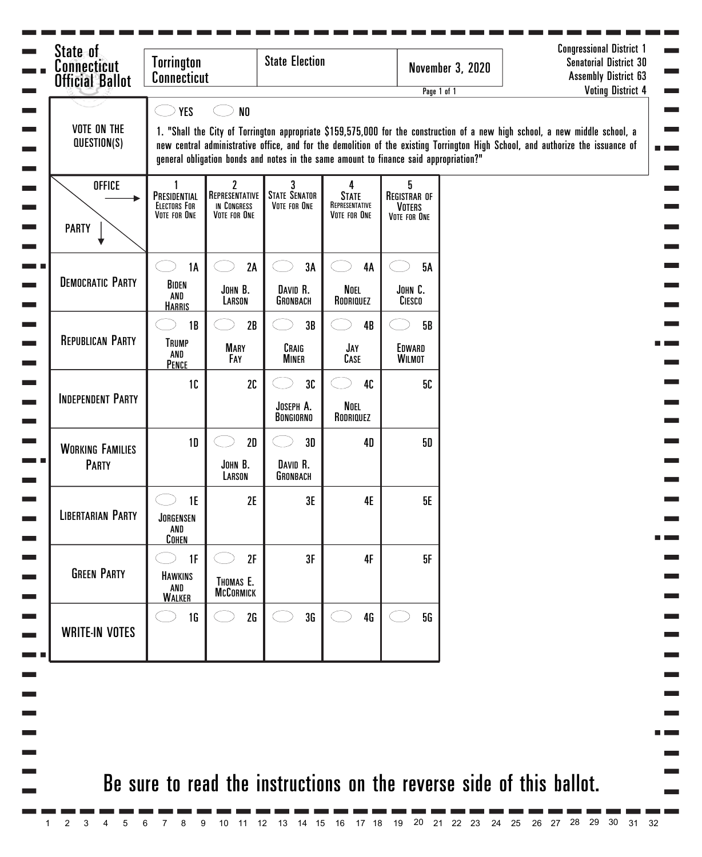| <b>Connecticut</b><br><b>Official Ballot</b> | <b>Torrington</b><br><b>Connecticut</b>             |                                                               | <b>State Election</b>                     |                                                            |                                                                                       | <b>November 3, 2020</b><br>Page 1 of 1 | <b>Senatorial District 30</b><br><b>Assembly District 63</b><br><b>Voting District 4</b>                                                                                                                                                                        |
|----------------------------------------------|-----------------------------------------------------|---------------------------------------------------------------|-------------------------------------------|------------------------------------------------------------|---------------------------------------------------------------------------------------|----------------------------------------|-----------------------------------------------------------------------------------------------------------------------------------------------------------------------------------------------------------------------------------------------------------------|
| <b>VOTE ON THE</b><br>QUESTION(S)            | <b>YES</b>                                          | N <sub>0</sub>                                                |                                           |                                                            | general obligation bonds and notes in the same amount to finance said appropriation?" |                                        | 1. "Shall the City of Torrington appropriate \$159,575,000 for the construction of a new high school, a new middle school, a<br>new central administrative office, and for the demolition of the existing Torrington High School, and authorize the issuance of |
| <b>OFFICE</b><br><b>PARTY</b>                | PRESIDENTIAL<br><b>ELECTORS FOR</b><br>VOTE FOR ONE | $\mathbf{2}$<br>REPRESENTATIVE<br>IN CONGRESS<br>VOTE FOR ONE | 3<br><b>STATE SENATOR</b><br>VOTE FOR ONE | 4<br><b>STATE</b><br>REPRESENTATIVE<br><b>VOTE FOR ONE</b> | 5<br><b>REGISTRAR OF</b><br><b>VOTERS</b><br>VOTE FOR ONE                             |                                        |                                                                                                                                                                                                                                                                 |
| <b>DEMOCRATIC PARTY</b>                      | <b>1A</b><br>BIDEN<br>AND<br><b>HARRIS</b>          | 2A<br>JOHN B.<br>LARSON                                       | 3A<br>DAVID R.<br>GRONBACH                | 4A<br>Noel<br>RODRIQUEZ                                    | <b>5A</b><br>JOHN C.<br>CIESCO                                                        |                                        |                                                                                                                                                                                                                                                                 |
| <b>REPUBLICAN PARTY</b>                      | 1B<br><b>TRUMP</b><br>AND<br>PENCE                  | 2B<br><b>MARY</b><br>Fay                                      | 3B<br>CRAIG<br><b>MINER</b>               | 4B<br>JAY<br>CASE                                          | 5B<br>EDWARD<br><b>WILMOT</b>                                                         |                                        |                                                                                                                                                                                                                                                                 |
| <b>INDEPENDENT PARTY</b>                     | 1 <sub>C</sub>                                      | 2C                                                            | 30<br>JOSEPH A.<br>BONGIORNO              | 40<br>Noel<br>RODRIQUEZ                                    | 50                                                                                    |                                        |                                                                                                                                                                                                                                                                 |
| <b>WORKING FAMILIES</b><br><b>PARTY</b>      | 1 <sub>D</sub>                                      | 2D<br>JOHN B.<br>LARSON                                       | 3D<br>DAVID R.<br>GRONBACH                | <b>4D</b>                                                  | <b>5D</b>                                                                             |                                        |                                                                                                                                                                                                                                                                 |
| <b>LIBERTARIAN PARTY</b>                     | 1E<br>JORGENSEN<br>AND<br><b>COHEN</b>              | 2E                                                            | 3E                                        | 4E                                                         | 5E                                                                                    |                                        |                                                                                                                                                                                                                                                                 |
| <b>GREEN PARTY</b>                           | 1F<br><b>HAWKINS</b><br>AND<br><b>WALKER</b>        | 2F<br>THOMAS E.<br><b>MCCORMICK</b>                           | 3F                                        | 4F                                                         | 5F                                                                                    |                                        |                                                                                                                                                                                                                                                                 |
| <b>WRITE-IN VOTES</b>                        | 1 <sub>G</sub>                                      | 2G                                                            | 3G                                        | 4G                                                         | 5G                                                                                    |                                        |                                                                                                                                                                                                                                                                 |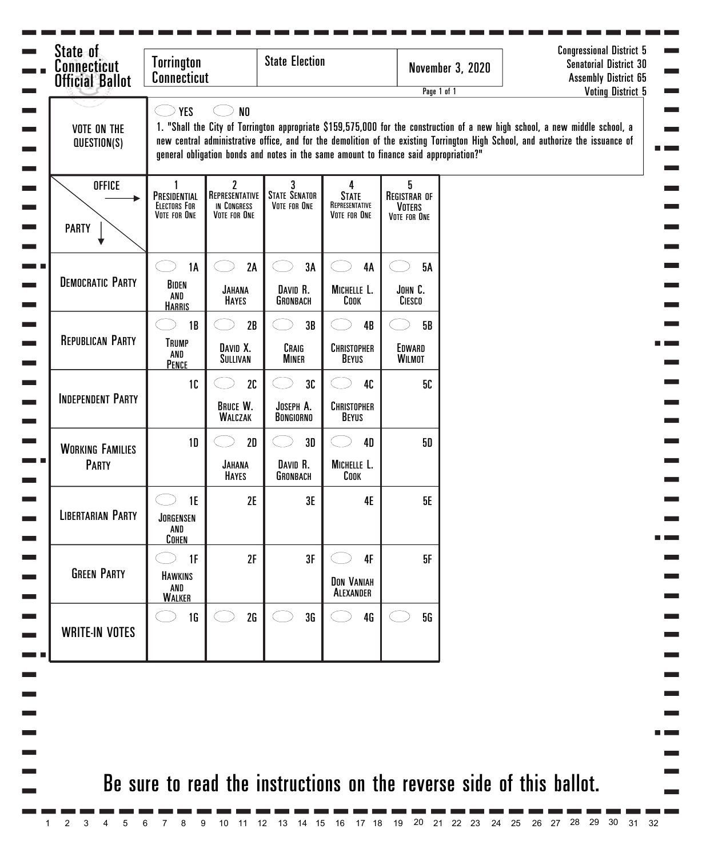| State of<br><b>Connecticut</b><br><b>Official Ballot</b> | <b>State Election</b><br><b>Torrington</b><br><b>Connecticut</b>                                                                                                                                                                                                                                                                                                                         |                                                    |                                           | <b>November 3, 2020</b><br>Page 1 of 1                     |                                                           |  | <b>Senatorial District 30</b><br><b>Assembly District 65</b><br><b>Voting District 5</b> |  |  |  |
|----------------------------------------------------------|------------------------------------------------------------------------------------------------------------------------------------------------------------------------------------------------------------------------------------------------------------------------------------------------------------------------------------------------------------------------------------------|----------------------------------------------------|-------------------------------------------|------------------------------------------------------------|-----------------------------------------------------------|--|------------------------------------------------------------------------------------------|--|--|--|
| <b>VOTE ON THE</b><br>QUESTION(S)                        | <b>YES</b><br>N <sub>0</sub><br>1. "Shall the City of Torrington appropriate \$159,575,000 for the construction of a new high school, a new middle school, a<br>new central administrative office, and for the demolition of the existing Torrington High School, and authorize the issuance of<br>general obligation bonds and notes in the same amount to finance said appropriation?" |                                                    |                                           |                                                            |                                                           |  |                                                                                          |  |  |  |
| <b>OFFICE</b><br><b>PARTY</b>                            | PRESIDENTIAL<br><b>ELECTORS FOR</b><br>VOTE FOR ONE                                                                                                                                                                                                                                                                                                                                      | 2<br>REPRESENTATIVE<br>IN CONGRESS<br>VOTE FOR ONE | 3<br><b>STATE SENATOR</b><br>VOTE FOR ONE | 4<br><b>STATE</b><br>REPRESENTATIVE<br><b>VOTE FOR ONE</b> | 5<br><b>REGISTRAR OF</b><br><b>VOTERS</b><br>VOTE FOR ONE |  |                                                                                          |  |  |  |
| <b>DEMOCRATIC PARTY</b>                                  | <b>1A</b><br>BIDEN<br>AND<br><b>HARRIS</b>                                                                                                                                                                                                                                                                                                                                               | 2A<br><b>JAHANA</b><br><b>HAYES</b>                | 3A<br>DAVID R.<br>GRONBACH                | 4A<br>MICHELLE L.<br>Соок                                  | <b>5A</b><br>JOHN C.<br>CIESCO                            |  |                                                                                          |  |  |  |
| <b>REPUBLICAN PARTY</b>                                  | 1B<br><b>TRUMP</b><br>AND<br>PENCE                                                                                                                                                                                                                                                                                                                                                       | 2B<br>DAVID X.<br>SULLIVAN                         | 3B<br>CRAIG<br><b>MINER</b>               | 4B<br>CHRISTOPHER<br><b>BEYUS</b>                          | 5B<br>EDWARD<br><b>WILMOT</b>                             |  |                                                                                          |  |  |  |
| <b>INDEPENDENT PARTY</b>                                 | 10                                                                                                                                                                                                                                                                                                                                                                                       | 2C<br><b>BRUCE W.</b><br><b>WALCZAK</b>            | 3C<br>JOSEPH A.<br><b>BONGIORNO</b>       | 40<br>CHRISTOPHER<br><b>BEYUS</b>                          | 5С                                                        |  |                                                                                          |  |  |  |
| <b>WORKING FAMILIES</b><br><b>PARTY</b>                  | 1 <sub>D</sub>                                                                                                                                                                                                                                                                                                                                                                           | 2D<br><b>JAHANA</b><br><b>HAYES</b>                | 3D<br>DAVID R.<br>GRONBACH                | <b>4D</b><br>MICHELLE L.<br>COOK                           | 50                                                        |  |                                                                                          |  |  |  |
| <b>LIBERTARIAN PARTY</b>                                 | 1E<br>JORGENSEN<br>AND<br><b>COHEN</b>                                                                                                                                                                                                                                                                                                                                                   | 2E                                                 | 3E                                        | 4E                                                         | <b>5E</b>                                                 |  |                                                                                          |  |  |  |
| <b>GREEN PARTY</b>                                       | 1F<br><b>HAWKINS</b><br>AND<br><b>WALKER</b>                                                                                                                                                                                                                                                                                                                                             | 2F                                                 | 3F                                        | 4F<br><b>DON VANIAH</b><br>ALEXANDER                       | 5F                                                        |  |                                                                                          |  |  |  |
| <b>WRITE-IN VOTES</b>                                    | 1 <sub>G</sub>                                                                                                                                                                                                                                                                                                                                                                           | 2G                                                 | 3G                                        | 4G                                                         | 5G                                                        |  |                                                                                          |  |  |  |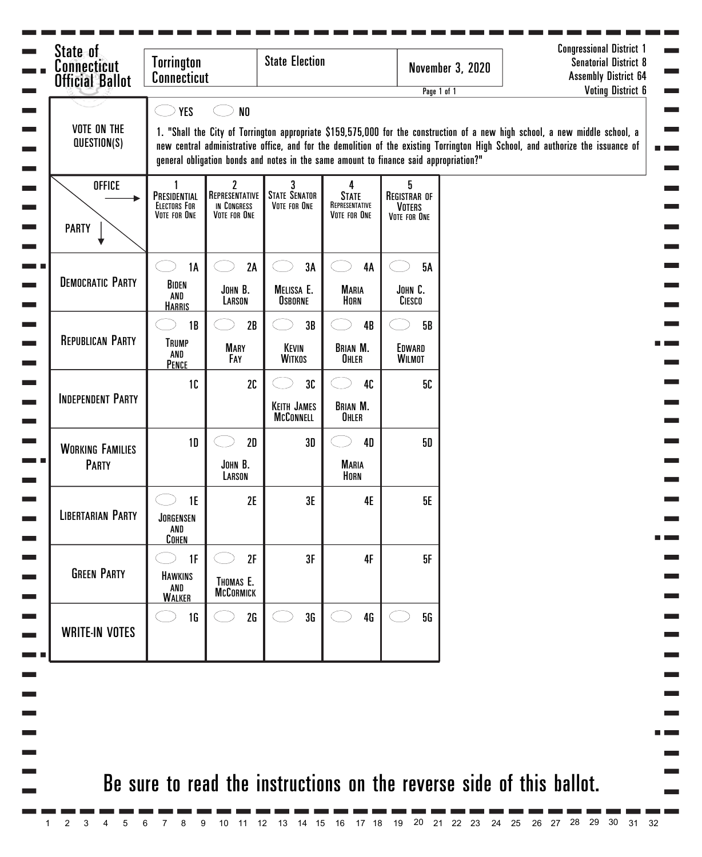| <b>VOTE ON THE</b>                      |                                                     |                                                    |                                                                                       |                                                     | Page 1 of 1                                               | <b>Senatorial District 8</b><br><b>Assembly District 64</b><br><b>Voting District 6</b>                                                                                                                                                                         |
|-----------------------------------------|-----------------------------------------------------|----------------------------------------------------|---------------------------------------------------------------------------------------|-----------------------------------------------------|-----------------------------------------------------------|-----------------------------------------------------------------------------------------------------------------------------------------------------------------------------------------------------------------------------------------------------------------|
| QUESTION(S)                             | <b>YES</b>                                          | N <sub>0</sub>                                     | general obligation bonds and notes in the same amount to finance said appropriation?" |                                                     |                                                           | 1. "Shall the City of Torrington appropriate \$159,575,000 for the construction of a new high school, a new middle school, a<br>new central administrative office, and for the demolition of the existing Torrington High School, and authorize the issuance of |
| <b>OFFICE</b><br><b>PARTY</b>           | PRESIDENTIAL<br><b>ELECTORS FOR</b><br>VOTE FOR ONE | 2<br>REPRESENTATIVE<br>IN CONGRESS<br>VOTE FOR ONE | 3<br><b>STATE SENATOR</b><br>VOTE FOR ONE                                             | 4<br><b>STATE</b><br>REPRESENTATIVE<br>VOTE FOR ONE | 5<br><b>REGISTRAR OF</b><br><b>VOTERS</b><br>VOTE FOR ONE |                                                                                                                                                                                                                                                                 |
| <b>DEMOCRATIC PARTY</b>                 | <b>1A</b><br>BIDEN<br>AND<br><b>HARRIS</b>          | 2A<br>JOHN B.<br>LARSON                            | 3A<br>MELISSA E.<br><b>OSBORNE</b>                                                    | <b>4A</b><br><b>MARIA</b><br>HORN                   | <b>5A</b><br>JOHN C.<br>CIESCO                            |                                                                                                                                                                                                                                                                 |
| <b>REPUBLICAN PARTY</b>                 | 1B<br><b>TRUMP</b><br>AND<br>PENCE                  | 2B<br><b>MARY</b><br>Fay                           | 3B<br>KEVIN<br><b>WITKOS</b>                                                          | 4B<br><b>BRIAN M.</b><br>OHLER                      | <b>5B</b><br>EDWARD<br><b>WILMOT</b>                      |                                                                                                                                                                                                                                                                 |
| <b>INDEPENDENT PARTY</b>                | 1C                                                  | 2C                                                 | 3C<br><b>KEITH JAMES</b><br><b>MCCONNELL</b>                                          | 40<br><b>BRIAN M.</b><br>OHLER                      | 50                                                        |                                                                                                                                                                                                                                                                 |
| <b>WORKING FAMILIES</b><br><b>PARTY</b> | 1 <sub>D</sub>                                      | 2D<br>JOHN B.<br>LARSON                            | 3D                                                                                    | 4D<br><b>MARIA</b><br>HORN                          | 50                                                        |                                                                                                                                                                                                                                                                 |
| <b>LIBERTARIAN PARTY</b>                | 1E<br>JORGENSEN<br>AND<br><b>COHEN</b>              | 2E                                                 | 3E                                                                                    | 4E                                                  | <b>5E</b>                                                 |                                                                                                                                                                                                                                                                 |
| <b>GREEN PARTY</b>                      | 1F<br>HAWKINS<br>AND<br><b>WALKER</b>               | 2F<br>THOMAS E.<br><b>MCCORMICK</b>                | 3F                                                                                    | 4F                                                  | 5F                                                        |                                                                                                                                                                                                                                                                 |
| <b>WRITE-IN VOTES</b>                   | <b>1G</b>                                           | 2G                                                 | 3G                                                                                    | <b>4G</b>                                           | 5G                                                        |                                                                                                                                                                                                                                                                 |

1 2 3 4 5 6 7 8 9 10 11 12 13 14 15 16 17 18 19 20 21 22 23 24 25 26 27 28 29 30 31 32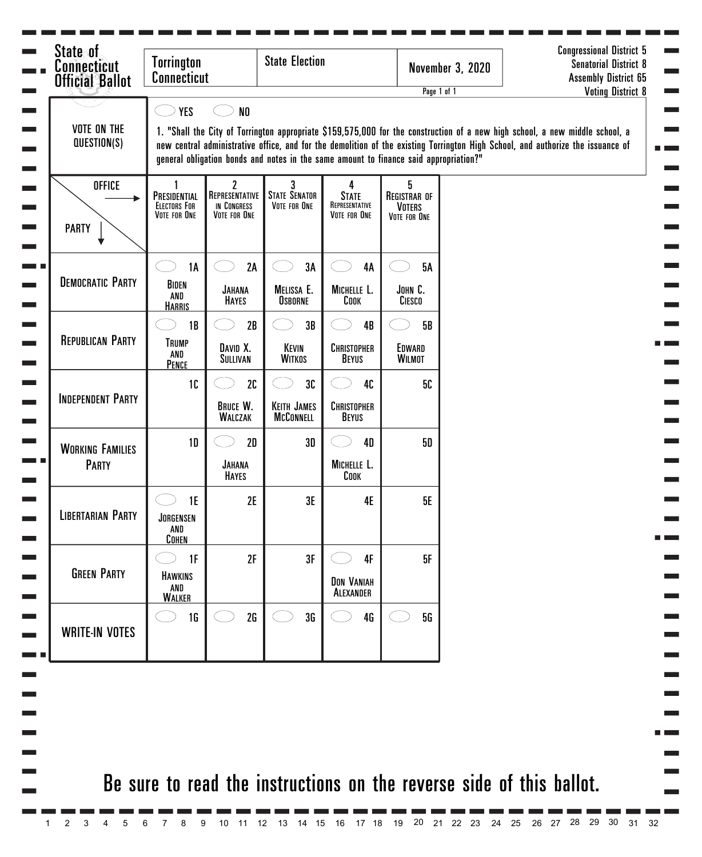| State of<br><b>Connecticut</b><br><b>Official Ballot</b> | <b>Torrington</b>                                                                                                                                                                                                                                                                                                                                                                 | <b>State Election</b><br><b>Connecticut</b>        |                                              |                                                     |                                                           | <b>November 3, 2020</b><br>Page 1 of 1 | <b>Congressional District 5</b><br><b>Senatorial District 8</b><br><b>Assembly District 65</b><br><b>Voting District 8</b> |  |  |  |
|----------------------------------------------------------|-----------------------------------------------------------------------------------------------------------------------------------------------------------------------------------------------------------------------------------------------------------------------------------------------------------------------------------------------------------------------------------|----------------------------------------------------|----------------------------------------------|-----------------------------------------------------|-----------------------------------------------------------|----------------------------------------|----------------------------------------------------------------------------------------------------------------------------|--|--|--|
| <b>VOTE ON THE</b><br>QUESTION(S)                        | YES<br>N <sub>0</sub><br>1. "Shall the City of Torrington appropriate \$159,575,000 for the construction of a new high school, a new middle school, a<br>new central administrative office, and for the demolition of the existing Torrington High School, and authorize the issuance of<br>general obligation bonds and notes in the same amount to finance said appropriation?" |                                                    |                                              |                                                     |                                                           |                                        |                                                                                                                            |  |  |  |
| <b>OFFICE</b><br><b>PARTY</b>                            | PRESIDENTIAL<br><b>ELECTORS FOR</b><br>VOTE FOR ONE                                                                                                                                                                                                                                                                                                                               | 2<br>REPRESENTATIVE<br>IN CONGRESS<br>VOTE FOR ONE | <b>STATE SENATOR</b><br>VOTE FOR ONE         | 4<br><b>STATE</b><br>REPRESENTATIVE<br>VOTE FOR ONE | 5<br><b>REGISTRAR OF</b><br><b>VOTERS</b><br>VOTE FOR ONE |                                        |                                                                                                                            |  |  |  |
| <b>DEMOCRATIC PARTY</b>                                  | 1A<br>BIDEN<br>AND<br><b>HARRIS</b>                                                                                                                                                                                                                                                                                                                                               | 2A<br><b>JAHANA</b><br><b>HAYES</b>                | 3A<br>MELISSA E.<br><b>OSBORNE</b>           | <b>4A</b><br>MICHELLE L.<br>COOK                    | <b>5A</b><br>JOHN C.<br>CIESCO                            |                                        |                                                                                                                            |  |  |  |
| <b>REPUBLICAN PARTY</b>                                  | 1B<br><b>TRUMP</b><br>AND<br>PENCE                                                                                                                                                                                                                                                                                                                                                | 2B<br>DAVID X.<br>SULLIVAN                         | 3B<br>KEVIN<br><b>WITKOS</b>                 | 4B<br>CHRISTOPHER<br><b>BEYUS</b>                   | 5B<br>EDWARD<br><b>WILMOT</b>                             |                                        |                                                                                                                            |  |  |  |
| <b>INDEPENDENT PARTY</b>                                 | 1C                                                                                                                                                                                                                                                                                                                                                                                | 2C<br><b>BRUCE W.</b><br><b>WALCZAK</b>            | 3C<br><b>KEITH JAMES</b><br><b>MCCONNELL</b> | 40<br>CHRISTOPHER<br><b>BEYUS</b>                   | 50                                                        |                                        |                                                                                                                            |  |  |  |
| <b>WORKING FAMILIES</b><br><b>PARTY</b>                  | 1 <sub>D</sub>                                                                                                                                                                                                                                                                                                                                                                    | 2D<br><b>JAHANA</b><br><b>HAYES</b>                | 3D                                           | <b>4D</b><br>MICHELLE L.<br>COOK                    | 50                                                        |                                        |                                                                                                                            |  |  |  |
| <b>LIBERTARIAN PARTY</b>                                 | 1E<br>JORGENSEN<br>AND<br><b>COHEN</b>                                                                                                                                                                                                                                                                                                                                            | 2E                                                 | 3E                                           | 4E                                                  | <b>5E</b>                                                 |                                        |                                                                                                                            |  |  |  |
| <b>GREEN PARTY</b>                                       | 1F<br>HAWKINS<br>AND<br><b>WALKER</b>                                                                                                                                                                                                                                                                                                                                             | 2F                                                 | 3F                                           | 4F<br><b>DON VANIAH</b><br>ALEXANDER                | 5F                                                        |                                        |                                                                                                                            |  |  |  |
| <b>WRITE-IN VOTES</b>                                    | 1 <sub>G</sub>                                                                                                                                                                                                                                                                                                                                                                    | 2G                                                 | 3G                                           | 4G                                                  | 5G                                                        |                                        |                                                                                                                            |  |  |  |